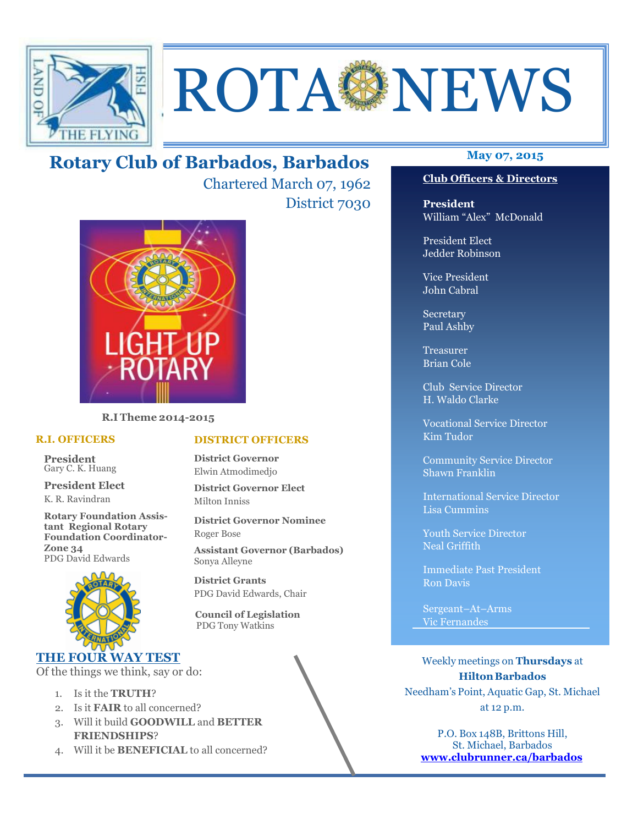

# ROTA NEWS

# **May 07, 2015 Rotary Club of Barbados, Barbados**

Chartered March 07, 1962 District 7030



**R.I Theme 2014-2015** 

## **R.I. OFFICERS**

**President** Gary C. K. Huang

**President Elect** K. R. Ravindran

**Rotary Foundation Assistant Regional Rotary Foundation Coordinator-Zone 34**  PDG David Edwards



## **THE FOUR WAY TEST**

Of the things we think, say or do:

- 1. Is it the **TRUTH**?
- 2. Is it **FAIR** to all concerned?
- 3. Will it build **GOODWILL** and **BETTER FRIENDSHIPS**?
- 4. Will it be **BENEFICIAL** to all concerned?

## **Club Officers & Directors**

**President** William "Alex" McDonald

President Elect Jedder Robinson

Vice President John Cabral

Secretary Paul Ashby

Treasurer Brian Cole

Club Service Director H. Waldo Clarke

Vocational Service Director Kim Tudor

Community Service Director Shawn Franklin

International Service Director Lisa Cummins

Youth Service Director Neal Griffith

Immediate Past President Ron Davis

Sergeant–At–Arms Vic Fernandes

Weekly meetings on **Thursdays** at **Hilton Barbados** Needham's Point, Aquatic Gap, St. Michael at 12 p.m.

P.O. Box 148B, Brittons Hill, St. Michael, Barbados **www.clubrunner.ca/barbados**

## **DISTRICT OFFICERS**

**District Governor** Elwin Atmodimedjo

**District Governor Elect** Milton Inniss

**District Governor Nominee**  Roger Bose

**Assistant Governor (Barbados)** Sonya Alleyne

**District Grants**  PDG David Edwards, Chair

 **Council of Legislation**  PDG Tony Watkins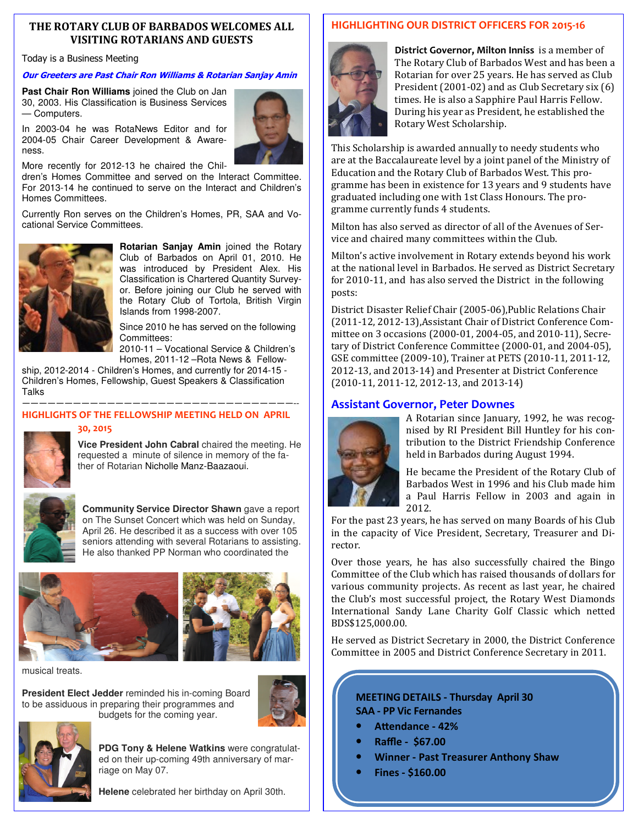## **THE ROTARY CLUB OF BARBADOS WELCOMES ALL VISITING ROTARIANS AND GUESTS**

## Today is a Business Meeting

## **Our Greeters are Past Chair Ron Williams & Rotarian Sanjay Amin**

**Past Chair Ron Williams** joined the Club on Jan 30, 2003. His Classification is Business Services — Computers.

In 2003-04 he was RotaNews Editor and for 2004-05 Chair Career Development & Awareness.



More recently for 2012-13 he chaired the Chil-

dren's Homes Committee and served on the Interact Committee. For 2013-14 he continued to serve on the Interact and Children's Homes Committees.

Currently Ron serves on the Children's Homes, PR, SAA and Vocational Service Committees.



**Rotarian Sanjay Amin** joined the Rotary Club of Barbados on April 01, 2010. He was introduced by President Alex. His Classification is Chartered Quantity Surveyor. Before joining our Club he served with the Rotary Club of Tortola, British Virgin Islands from 1998-2007.

Since 2010 he has served on the following Committees:

2010-11 – Vocational Service & Children's Homes, 2011-12 –Rota News & Fellow-

ship, 2012-2014 - Children's Homes, and currently for 2014-15 - Children's Homes, Fellowship, Guest Speakers & Classification **Talks** 

## ————————————————————————————————-- **HIGHLIGHTS OF THE FELLOWSHIP MEETING HELD ON APRIL**

## **30, 2015**



**Vice President John Cabral** chaired the meeting. He requested a minute of silence in memory of the father of Rotarian Nicholle Manz-Baazaoui.



**Community Service Director Shawn** gave a report on The Sunset Concert which was held on Sunday, April 26. He described it as a success with over 105 seniors attending with several Rotarians to assisting. He also thanked PP Norman who coordinated the





musical treats.

**President Elect Jedder** reminded his in-coming Board to be assiduous in preparing their programmes and budgets for the coming year.





**PDG Tony & Helene Watkins** were congratulated on their up-coming 49th anniversary of marriage on May 07.

**Helene** celebrated her birthday on April 30th.

## **HIGHLIGHTING OUR DISTRICT OFFICERS FOR 2015-16**



**District Governor, Milton Inniss** is a member of The Rotary Club of Barbados West and has been a Rotarian for over 25 years. He has served as Club President  $(2001-02)$  and as Club Secretary six  $(6)$ times. He is also a Sapphire Paul Harris Fellow. During his year as President, he established the Rotary West Scholarship. 

This Scholarship is awarded annually to needy students who are at the Baccalaureate level by a joint panel of the Ministry of Education and the Rotary Club of Barbados West. This programme has been in existence for 13 years and 9 students have graduated including one with 1st Class Honours. The programme currently funds 4 students.

Milton has also served as director of all of the Avenues of Service and chaired many committees within the Club.

Milton's active involvement in Rotary extends beyond his work at the national level in Barbados. He served as District Secretary for  $2010-11$ , and has also served the District in the following posts: 

District Disaster Relief Chair (2005-06), Public Relations Chair (2011-12, 2012-13), Assistant Chair of District Conference Committee on 3 occasions (2000-01, 2004-05, and 2010-11), Secretary of District Conference Committee (2000-01, and 2004-05). GSE committee (2009-10), Trainer at PETS (2010-11, 2011-12, 2012-13, and 2013-14) and Presenter at District Conference  $(2010-11, 2011-12, 2012-13,$  and  $2013-14)$ 

## **Assistant Governor, Peter Downes**



A Rotarian since January, 1992, he was recognised by RI President Bill Huntley for his contribution to the District Friendship Conference held in Barbados during August 1994.

He became the President of the Rotary Club of Barbados West in 1996 and his Club made him a Paul Harris Fellow in 2003 and again in 2012. 

For the past 23 years, he has served on many Boards of his Club in the capacity of Vice President, Secretary, Treasurer and Director. 

Over those years, he has also successfully chaired the Bingo Committee of the Club which has raised thousands of dollars for various community projects. As recent as last year, he chaired the Club's most successful project, the Rotary West Diamonds International Sandy Lane Charity Golf Classic which netted BDS\$125,000.00. 

He served as District Secretary in 2000, the District Conference Committee in 2005 and District Conference Secretary in 2011.

## **MEETING DETAILS - Thursday April 30 SAA - PP Vic Fernandes**

- Attendance 42%
- **Raffle \$67.00**
- **Winner Past Treasurer Anthony Shaw**
- **Fines \$160.00**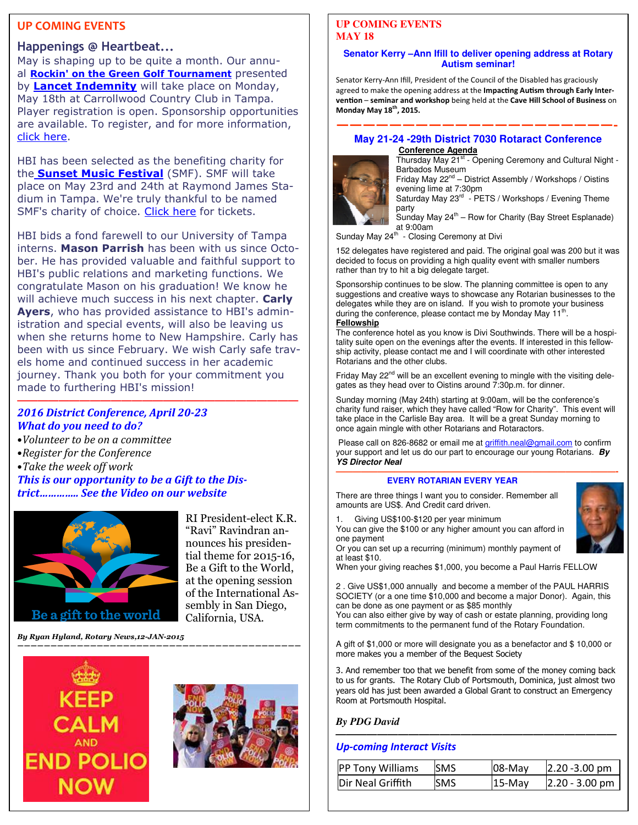## **UP COMING EVENTS**

## **Happenings @ Heartbeat...**

May is shaping up to be quite a month. Our annual **Rockin' on the Green Golf Tournament** presented by **Lancet Indemnity** will take place on Monday, May 18th at Carrollwood Country Club in Tampa. Player registration is open. Sponsorship opportunities are available. To register, and for more information, click here.

HBI has been selected as the benefiting charity for the **Sunset Music Festival** (SMF). SMF will take place on May 23rd and 24th at Raymond James Stadium in Tampa. We're truly thankful to be named SMF's charity of choice. Click here for tickets.

HBI bids a fond farewell to our University of Tampa interns. **Mason Parrish** has been with us since October. He has provided valuable and faithful support to HBI's public relations and marketing functions. We congratulate Mason on his graduation! We know he will achieve much success in his next chapter. **Carly Ayers**, who has provided assistance to HBI's administration and special events, will also be leaving us when she returns home to New Hampshire. Carly has been with us since February. We wish Carly safe travels home and continued success in her academic journey. Thank you both for your commitment you made to furthering HBI's mission! **———————————————————————————** 

## *2016 District Conference, April 20-23 What do you need to do?*

- •*Volunteer to be on a committee*
- •*Register for the Conference*
- Take the week off work

This is our opportunity to be a Gift to the Dis*trict………….. See the Video on our website* 



RI President-elect K.R. "Ravi" Ravindran announces his presidential theme for 2015-16, Be a Gift to the World, at the opening session of the International Assembly in San Diego, California, USA.

*By Ryan Hyland, Rotary News,12-JAN-2015* 





## **UP COMING EVENTS MAY 18**

## **Senator Kerry –Ann Ifill to deliver opening address at Rotary Autism seminar!**

Senator Kerry-Ann Ifill, President of the Council of the Disabled has graciously agreed to make the opening address at the Impacting Autism through Early Inter**vention** – seminar and workshop being held at the Cave Hill School of Business on **Monday May 18th, 2015.**

## **—————————————————————- May 21-24 -29th District 7030 Rotaract Conference Conference Agenda**



Thursday May 21<sup>st</sup> - Opening Ceremony and Cultural Night -Barbados Museum

Friday May 22<sup>nd</sup> – District Assembly / Workshops / Oistins evening lime at 7:30pm

Saturday May 23<sup>rd</sup> - PETS / Workshops / Evening Theme party

Sunday May  $24<sup>th</sup>$  – Row for Charity (Bay Street Esplanade)

**Act Concern Cat 9:00am<br>Sunday May 24<sup>th</sup> - Closing Ceremony at Divi** 

152 delegates have registered and paid. The original goal was 200 but it was decided to focus on providing a high quality event with smaller numbers rather than try to hit a big delegate target.

Sponsorship continues to be slow. The planning committee is open to any suggestions and creative ways to showcase any Rotarian businesses to the delegates while they are on island. If you wish to promote your business during the conference, please contact me by Monday May 11<sup>th</sup>. **Fellowship**

The conference hotel as you know is Divi Southwinds. There will be a hospitality suite open on the evenings after the events. If interested in this fellowship activity, please contact me and I will coordinate with other interested Rotarians and the other clubs.

Friday May 22<sup>nd</sup> will be an excellent evening to mingle with the visiting delegates as they head over to Oistins around 7:30p.m. for dinner.

Sunday morning (May 24th) starting at 9:00am, will be the conference's charity fund raiser, which they have called "Row for Charity". This event will take place in the Carlisle Bay area. It will be a great Sunday morning to once again mingle with other Rotarians and Rotaractors.

Please call on 826-8682 or email me at griffith.neal@gmail.com to confirm your support and let us do our part to encourage our young Rotarians. **By YS Director Neal** 

### **—————————————————————–————————————- EVERY ROTARIAN EVERY YEAR**

There are three things I want you to consider. Remember all amounts are US\$. And Credit card driven.

Giving US\$100-\$120 per year minimum

You can give the \$100 or any higher amount you can afford in one payment

Or you can set up a recurring (minimum) monthly payment of at least \$10.

When your giving reaches \$1,000, you become a Paul Harris FELLOW

2 . Give US\$1,000 annually and become a member of the PAUL HARRIS SOCIETY (or a one time \$10,000 and become a major Donor). Again, this can be done as one payment or as \$85 monthly

You can also either give by way of cash or estate planning, providing long term commitments to the permanent fund of the Rotary Foundation.

A gift of \$1,000 or more will designate you as a benefactor and \$ 10,000 or more makes you a member of the Bequest Society

3. And remember too that we benefit from some of the money coming back to us for grants. The Rotary Club of Portsmouth, Dominica, just almost two years old has just been awarded a Global Grant to construct an Emergency Room at Portsmouth Hospital.

## *By PDG David*

## *Up-coming Interact Visits*

| PP Tony Williams  | <b>ISMS</b> | $108 -$ Mav | $2.20 - 3.00$ pm |
|-------------------|-------------|-------------|------------------|
| Dir Neal Griffith | <b>SMS</b>  | $15-Mav$    | $2.20 - 3.00$ pm |

*———————————————————————————*